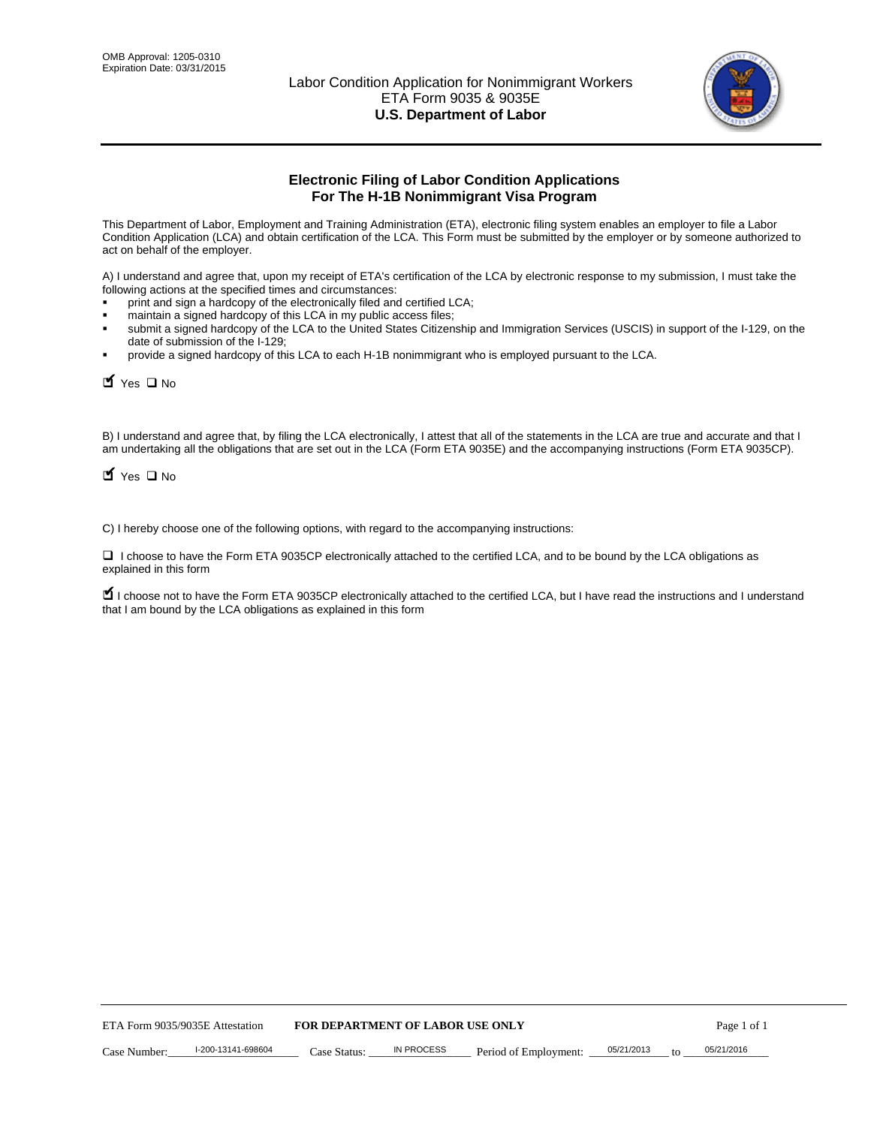

# **Electronic Filing of Labor Condition Applications For The H-1B Nonimmigrant Visa Program**

This Department of Labor, Employment and Training Administration (ETA), electronic filing system enables an employer to file a Labor Condition Application (LCA) and obtain certification of the LCA. This Form must be submitted by the employer or by someone authorized to act on behalf of the employer.

A) I understand and agree that, upon my receipt of ETA's certification of the LCA by electronic response to my submission, I must take the following actions at the specified times and circumstances:

- print and sign a hardcopy of the electronically filed and certified LCA;
- maintain a signed hardcopy of this LCA in my public access files;
- submit a signed hardcopy of the LCA to the United States Citizenship and Immigration Services (USCIS) in support of the I-129, on the date of submission of the I-129;
- provide a signed hardcopy of this LCA to each H-1B nonimmigrant who is employed pursuant to the LCA.

 $\blacksquare$  Yes  $\square$  No

B) I understand and agree that, by filing the LCA electronically, I attest that all of the statements in the LCA are true and accurate and that I am undertaking all the obligations that are set out in the LCA (Form ETA 9035E) and the accompanying instructions (Form ETA 9035CP).

 $\blacksquare$  Yes  $\square$  No

C) I hereby choose one of the following options, with regard to the accompanying instructions:

□ I choose to have the Form ETA 9035CP electronically attached to the certified LCA, and to be bound by the LCA obligations as explained in this form

■ I choose not to have the Form ETA 9035CP electronically attached to the certified LCA, but I have read the instructions and I understand that I am bound by the LCA obligations as explained in this form

| ETA Form 9035/9035E Attestation |                    | <b>FOR DEPARTMENT OF LABOR USE ONLY</b> |            |                       |            | Page 1 of 1 |            |
|---------------------------------|--------------------|-----------------------------------------|------------|-----------------------|------------|-------------|------------|
| Case Number:                    | l-200-13141-698604 | Case Status:                            | IN PROCESS | Period of Employment: | 05/21/2013 | $f \cap$    | 05/21/2016 |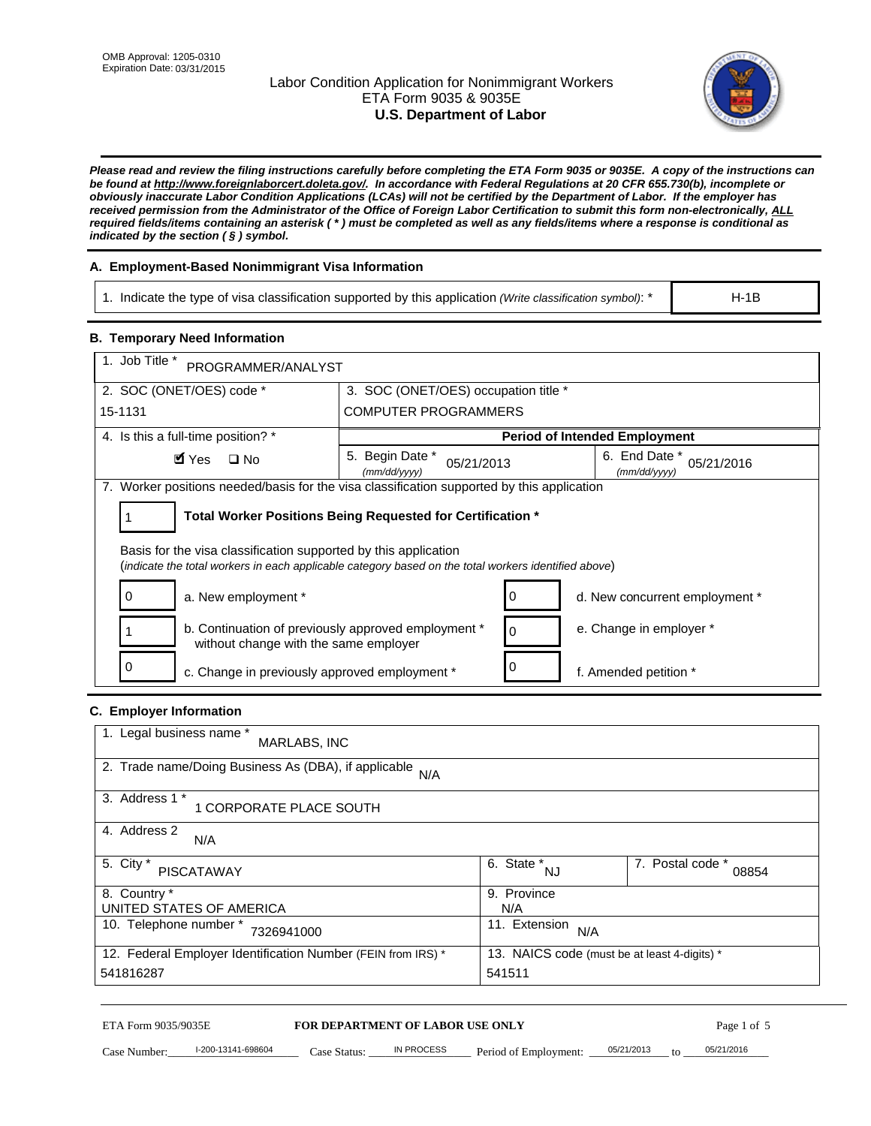## Labor Condition Application for Nonimmigrant Workers ETA Form 9035 & 9035E **U.S. Department of Labor**



*Please read and review the filing instructions carefully before completing the ETA Form 9035 or 9035E. A copy of the instructions can be found at http://www.foreignlaborcert.doleta.gov/. In accordance with Federal Regulations at 20 CFR 655.730(b), incomplete or obviously inaccurate Labor Condition Applications (LCAs) will not be certified by the Department of Labor. If the employer has received permission from the Administrator of the Office of Foreign Labor Certification to submit this form non-electronically, ALL required fields/items containing an asterisk ( \* ) must be completed as well as any fields/items where a response is conditional as indicated by the section ( § ) symbol.* 

## **A. Employment-Based Nonimmigrant Visa Information**

1. Indicate the type of visa classification supported by this application *(Write classification symbol)*: \*

H-1B

### **B. Temporary Need Information**

| 1. Job Title *<br>PROGRAMMER/ANALYST                                                                                                                                    |                                                                                              |          |                                      |  |  |
|-------------------------------------------------------------------------------------------------------------------------------------------------------------------------|----------------------------------------------------------------------------------------------|----------|--------------------------------------|--|--|
| 2. SOC (ONET/OES) code *                                                                                                                                                | 3. SOC (ONET/OES) occupation title *                                                         |          |                                      |  |  |
| 15-1131                                                                                                                                                                 | <b>COMPUTER PROGRAMMERS</b>                                                                  |          |                                      |  |  |
| 4. Is this a full-time position? *                                                                                                                                      |                                                                                              |          | <b>Period of Intended Employment</b> |  |  |
| $\blacksquare$ Yes<br>$\Box$ No                                                                                                                                         | 5. Begin Date *<br>6. End Date *<br>05/21/2016<br>05/21/2013<br>(mm/dd/yyyy)<br>(mm/dd/yyyy) |          |                                      |  |  |
| 7. Worker positions needed/basis for the visa classification supported by this application                                                                              |                                                                                              |          |                                      |  |  |
|                                                                                                                                                                         | Total Worker Positions Being Requested for Certification *                                   |          |                                      |  |  |
| Basis for the visa classification supported by this application<br>(indicate the total workers in each applicable category based on the total workers identified above) |                                                                                              |          |                                      |  |  |
| a. New employment *<br>0                                                                                                                                                |                                                                                              |          | d. New concurrent employment *       |  |  |
| b. Continuation of previously approved employment *<br>without change with the same employer                                                                            |                                                                                              | $\Omega$ | e. Change in employer *              |  |  |
| $\Omega$<br>c. Change in previously approved employment *                                                                                                               |                                                                                              |          | f. Amended petition *                |  |  |

#### **C. Employer Information**

| 1. Legal business name *<br>MARLABS, INC                     |                                              |                           |
|--------------------------------------------------------------|----------------------------------------------|---------------------------|
| 2. Trade name/Doing Business As (DBA), if applicable<br>N/A  |                                              |                           |
| 3. Address 1 *<br>1 CORPORATE PLACE SOUTH                    |                                              |                           |
| 4. Address 2<br>N/A                                          |                                              |                           |
| 5. City *<br><b>PISCATAWAY</b>                               | 6. State *<br>NJ                             | 7. Postal code *<br>08854 |
| 8. Country *                                                 | 9. Province                                  |                           |
| UNITED STATES OF AMERICA                                     | N/A                                          |                           |
| 10. Telephone number *<br>7326941000                         | 11. Extension<br>N/A                         |                           |
| 12. Federal Employer Identification Number (FEIN from IRS) * | 13. NAICS code (must be at least 4-digits) * |                           |
| 541816287                                                    | 541511                                       |                           |

#### ETA Form 9035/9035E **FOR DEPARTMENT OF LABOR USE ONLY**

Case Number:  $\frac{1-200-13141-698604}{200-13141-698604}$  Case Status:  $\frac{1}{20}$  N PROCESS Period of Employment:  $\frac{0.05/21/2013}{200}$  to  $\frac{0.05/21/2016}{200}$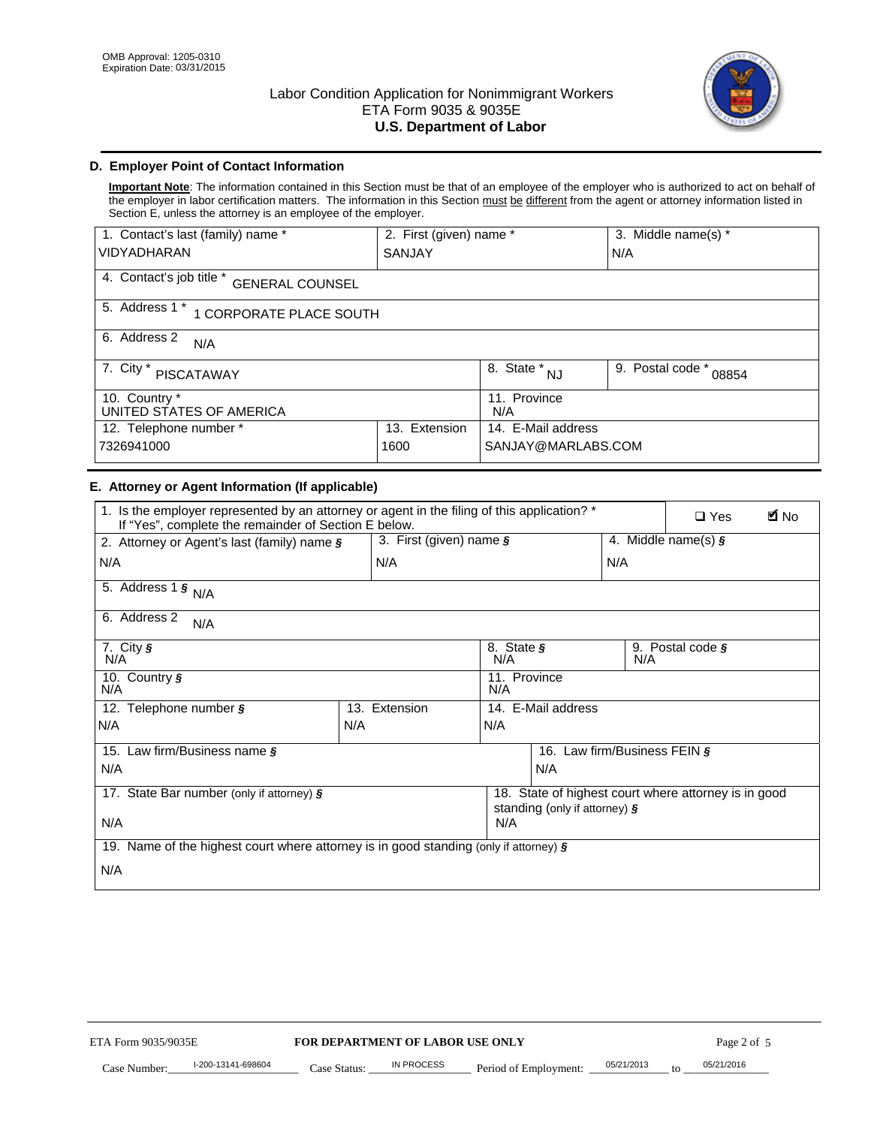

## **D. Employer Point of Contact Information**

**Important Note**: The information contained in this Section must be that of an employee of the employer who is authorized to act on behalf of the employer in labor certification matters. The information in this Section must be different from the agent or attorney information listed in Section E, unless the attorney is an employee of the employer.

| 1. Contact's last (family) name *                  | 2. First (given) name * |                         | 3. Middle name(s) *       |
|----------------------------------------------------|-------------------------|-------------------------|---------------------------|
| <b>VIDYADHARAN</b>                                 | SANJAY                  |                         | N/A                       |
| 4. Contact's job title *<br><b>GENERAL COUNSEL</b> |                         |                         |                           |
| 5. Address 1 *<br>1 CORPORATE PLACE SOUTH          |                         |                         |                           |
| 6. Address 2<br>N/A                                |                         |                         |                           |
| 7. City $*$<br><b>PISCATAWAY</b>                   |                         | 8. State *<br><b>NJ</b> | 9. Postal code *<br>08854 |
| 10. Country *<br>UNITED STATES OF AMERICA          |                         | 11. Province<br>N/A     |                           |
| 12. Telephone number *<br>Extension<br>13.         |                         | 14. E-Mail address      |                           |
| 7326941000<br>1600                                 |                         | SANJAY@MARLABS.COM      |                           |

### **E. Attorney or Agent Information (If applicable)**

| 1. Is the employer represented by an attorney or agent in the filing of this application? *<br>If "Yes", complete the remainder of Section E below. |     |                         |                                                                                       |     |     | <b>E</b> No<br>$\Box$ Yes |
|-----------------------------------------------------------------------------------------------------------------------------------------------------|-----|-------------------------|---------------------------------------------------------------------------------------|-----|-----|---------------------------|
| 2. Attorney or Agent's last (family) name §                                                                                                         |     | 3. First (given) name § |                                                                                       |     |     | 4. Middle name(s) $\zeta$ |
| N/A                                                                                                                                                 |     | N/A                     |                                                                                       |     | N/A |                           |
| 5. Address 1 $\frac{1}{5}$ N/A                                                                                                                      |     |                         |                                                                                       |     |     |                           |
| 6. Address 2<br>N/A                                                                                                                                 |     |                         |                                                                                       |     |     |                           |
| 7. City $\sqrt{s}$<br>N/A                                                                                                                           |     |                         | 8. State §<br>9. Postal code $\zeta$<br>N/A<br>N/A                                    |     |     |                           |
| 10. Country §<br>N/A                                                                                                                                |     |                         | 11. Province<br>N/A                                                                   |     |     |                           |
| 12. Telephone number §                                                                                                                              |     | 13. Extension           | 14. E-Mail address                                                                    |     |     |                           |
| N/A                                                                                                                                                 | N/A |                         | N/A                                                                                   |     |     |                           |
| 15. Law firm/Business name §                                                                                                                        |     |                         | 16.<br>Law firm/Business FEIN $\frac{1}{2}$                                           |     |     |                           |
| N/A                                                                                                                                                 |     |                         |                                                                                       | N/A |     |                           |
| 17. State Bar number (only if attorney) §                                                                                                           |     |                         | 18. State of highest court where attorney is in good<br>standing (only if attorney) § |     |     |                           |
| N/A                                                                                                                                                 |     |                         | N/A                                                                                   |     |     |                           |
| 19. Name of the highest court where attorney is in good standing (only if attorney) $\zeta$                                                         |     |                         |                                                                                       |     |     |                           |
| N/A                                                                                                                                                 |     |                         |                                                                                       |     |     |                           |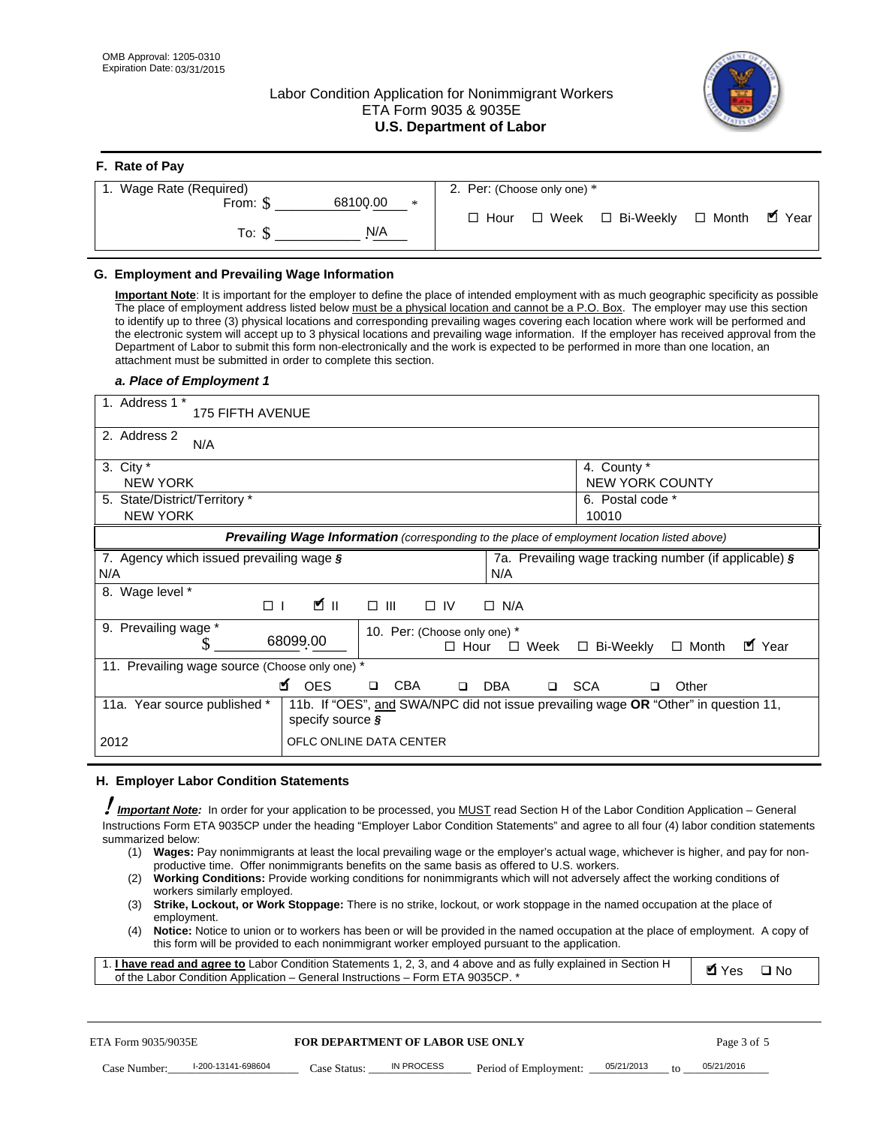**F. Rate of Pay** 

## Labor Condition Application for Nonimmigrant Workers ETA Form 9035 & 9035E **U.S. Department of Labor**



| <b>F.</b> Rate of Pay   |                 |                             |                                   |  |
|-------------------------|-----------------|-----------------------------|-----------------------------------|--|
| 1. Wage Rate (Required) |                 | 2. Per: (Choose only one) * |                                   |  |
| From: \$                | 68100.00<br>$*$ |                             |                                   |  |
|                         |                 | $\Box$ Hour                 | □ Week □ Bi-Weekly □ Month ■ Year |  |
| To: S                   | N/A             |                             |                                   |  |
|                         |                 |                             |                                   |  |

## **G. Employment and Prevailing Wage Information**

**Important Note**: It is important for the employer to define the place of intended employment with as much geographic specificity as possible The place of employment address listed below must be a physical location and cannot be a P.O. Box. The employer may use this section to identify up to three (3) physical locations and corresponding prevailing wages covering each location where work will be performed and the electronic system will accept up to 3 physical locations and prevailing wage information. If the employer has received approval from the Department of Labor to submit this form non-electronically and the work is expected to be performed in more than one location, an attachment must be submitted in order to complete this section.

#### *a. Place of Employment 1*

| 1. Address 1 *<br><b>175 FIFTH AVENUE</b>              |                                                                                                          |
|--------------------------------------------------------|----------------------------------------------------------------------------------------------------------|
| 2. Address 2<br>N/A                                    |                                                                                                          |
| 3. City $*$<br><b>NEW YORK</b>                         | 4. County *<br>NEW YORK COUNTY                                                                           |
| 5. State/District/Territory *<br><b>NEW YORK</b>       | 6. Postal code *<br>10010                                                                                |
|                                                        | <b>Prevailing Wage Information</b> (corresponding to the place of employment location listed above)      |
| 7. Agency which issued prevailing wage §<br>N/A        | 7a. Prevailing wage tracking number (if applicable) §<br>N/A                                             |
| Wage level *<br>8.<br>Ø∥<br>$\Box$                     | $\square$ $\square$<br>$\Box$ IV<br>$\Box$ N/A                                                           |
| 9. Prevailing wage *<br>68099.00                       | 10. Per: (Choose only one) *<br>■ Year<br>$\Box$ Bi-Weekly<br>$\Box$ Month<br>$\Box$ Hour<br>$\Box$ Week |
| 11. Prevailing wage source (Choose only one) *         |                                                                                                          |
| <b>M</b> OES                                           | <b>CBA</b><br><b>DBA</b><br><b>SCA</b><br>Other<br>$\Box$<br>$\Box$<br>$\Box$<br>$\Box$                  |
| 11a. Year source published *<br>specify source $\zeta$ | 11b. If "OES", and SWA/NPC did not issue prevailing wage OR "Other" in question 11,                      |
| 2012                                                   | OFLC ONLINE DATA CENTER                                                                                  |

#### **H. Employer Labor Condition Statements**

! *Important Note:* In order for your application to be processed, you MUST read Section H of the Labor Condition Application – General Instructions Form ETA 9035CP under the heading "Employer Labor Condition Statements" and agree to all four (4) labor condition statements summarized below:

- (1) **Wages:** Pay nonimmigrants at least the local prevailing wage or the employer's actual wage, whichever is higher, and pay for nonproductive time. Offer nonimmigrants benefits on the same basis as offered to U.S. workers.
- (2) **Working Conditions:** Provide working conditions for nonimmigrants which will not adversely affect the working conditions of workers similarly employed.
- (3) **Strike, Lockout, or Work Stoppage:** There is no strike, lockout, or work stoppage in the named occupation at the place of employment.
- (4) **Notice:** Notice to union or to workers has been or will be provided in the named occupation at the place of employment. A copy of this form will be provided to each nonimmigrant worker employed pursuant to the application.

| 1. I have read and agree to Labor Condition Statements 1, 2, 3, and 4 above and as fully explained in Section H | Myes ⊡No |  |
|-----------------------------------------------------------------------------------------------------------------|----------|--|
| of the Labor Condition Application – General Instructions – Form ETA 9035CP. *                                  |          |  |

| ETA Form 9035/9035E |                    | <b>FOR DEPARTMENT OF LABOR USE ONLY</b> |            |                                    |  | Page 3 of 5 |            |  |
|---------------------|--------------------|-----------------------------------------|------------|------------------------------------|--|-------------|------------|--|
| Case Number:        | l-200-13141-698604 | Case Status:                            | IN PROCESS | Period of Employment: $05/21/2013$ |  | $10^{-1}$   | 05/21/2016 |  |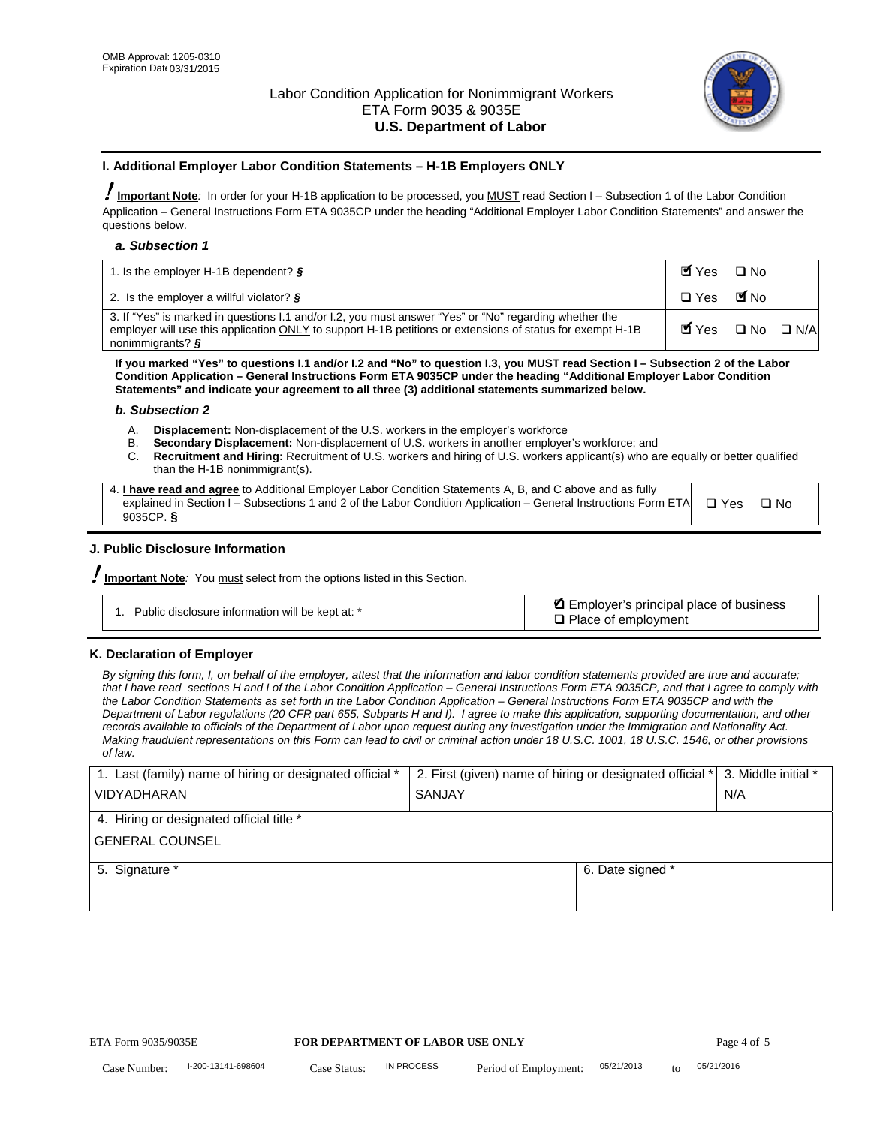

#### **I. Additional Employer Labor Condition Statements – H-1B Employers ONLY**

!**Important Note***:* In order for your H-1B application to be processed, you MUST read Section I – Subsection 1 of the Labor Condition Application – General Instructions Form ETA 9035CP under the heading "Additional Employer Labor Condition Statements" and answer the questions below.

#### *a. Subsection 1*

| 1. Is the employer H-1B dependent? $\S$                                                                                                                                                                                                 | Myes                                          | $\Box$ No              |  |
|-----------------------------------------------------------------------------------------------------------------------------------------------------------------------------------------------------------------------------------------|-----------------------------------------------|------------------------|--|
| 2. Is the employer a willful violator? $\frac{1}{2}$                                                                                                                                                                                    | $\Box$ Yes                                    | <b>M</b> <sub>No</sub> |  |
| 3. If "Yes" is marked in questions 1.1 and/or 1.2, you must answer "Yes" or "No" regarding whether the<br>employer will use this application ONLY to support H-1B petitions or extensions of status for exempt H-1B<br>nonimmigrants? § | $\blacksquare$ Yes $\square$ No $\square$ N/A |                        |  |

**If you marked "Yes" to questions I.1 and/or I.2 and "No" to question I.3, you MUST read Section I – Subsection 2 of the Labor Condition Application – General Instructions Form ETA 9035CP under the heading "Additional Employer Labor Condition Statements" and indicate your agreement to all three (3) additional statements summarized below.** 

#### *b. Subsection 2*

- A. **Displacement:** Non-displacement of the U.S. workers in the employer's workforce
- B. **Secondary Displacement:** Non-displacement of U.S. workers in another employer's workforce; and
- C. **Recruitment and Hiring:** Recruitment of U.S. workers and hiring of U.S. workers applicant(s) who are equally or better qualified than the H-1B nonimmigrant(s).

| 4. I have read and agree to Additional Employer Labor Condition Statements A, B, and C above and as fully                  |      |
|----------------------------------------------------------------------------------------------------------------------------|------|
| explained in Section I – Subsections 1 and 2 of the Labor Condition Application – General Instructions Form ETA $\Box$ Yes | ∩ N∩ |
| 9035CP. $\delta$                                                                                                           |      |

## **J. Public Disclosure Information**

!**Important Note***:* You must select from the options listed in this Section.

| Public disclosure information will be kept at: * | Employer's principal place of business<br>$\Box$ Place of employment |
|--------------------------------------------------|----------------------------------------------------------------------|
|--------------------------------------------------|----------------------------------------------------------------------|

#### **K. Declaration of Employer**

*By signing this form, I, on behalf of the employer, attest that the information and labor condition statements provided are true and accurate;*  that I have read sections H and I of the Labor Condition Application – General Instructions Form ETA 9035CP, and that I agree to comply with *the Labor Condition Statements as set forth in the Labor Condition Application – General Instructions Form ETA 9035CP and with the Department of Labor regulations (20 CFR part 655, Subparts H and I). I agree to make this application, supporting documentation, and other records available to officials of the Department of Labor upon request during any investigation under the Immigration and Nationality Act. Making fraudulent representations on this Form can lead to civil or criminal action under 18 U.S.C. 1001, 18 U.S.C. 1546, or other provisions of law.* 

| 1. Last (family) name of hiring or designated official * | 2. First (given) name of hiring or designated official *   3. Middle initial * |     |
|----------------------------------------------------------|--------------------------------------------------------------------------------|-----|
| <b>VIDYADHARAN</b>                                       | <b>SANJAY</b>                                                                  | N/A |
| 4. Hiring or designated official title *                 |                                                                                |     |
| <b>GENERAL COUNSEL</b>                                   |                                                                                |     |
| 5. Signature *                                           | 6. Date signed *                                                               |     |
|                                                          |                                                                                |     |